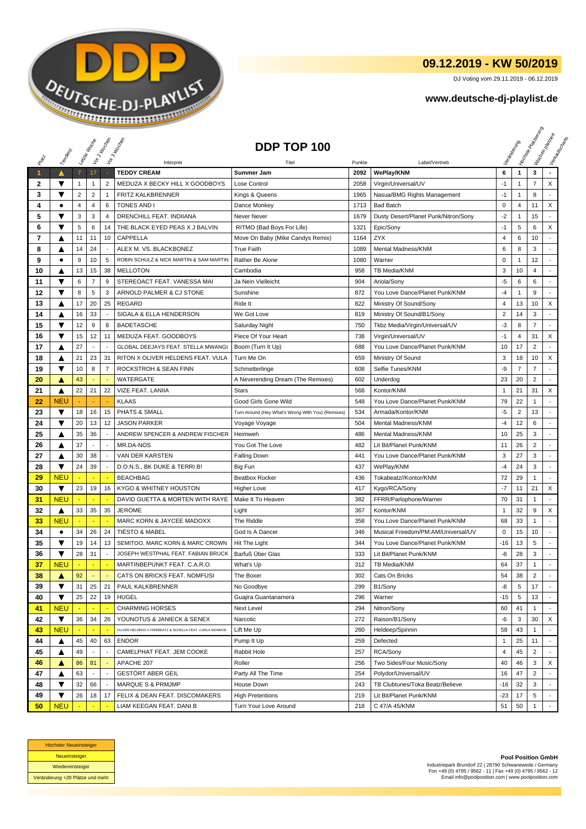

## **09.12.2019 - KW 50/2019**

DJ Voting vom 29.11.2019 - 06.12.2019

## **www.deutsche-dj-playlist.de**

|              |                         | Leizie Hacop   |                          | Voir2 Moone              | Vor 3 Incolas                                           | DDP TOP 100                                       |        |                                      |                |                | <b>I Yon<sub>do Papi</sub></b> | I Voriginal Priscing<br>Vertaurentaria |
|--------------|-------------------------|----------------|--------------------------|--------------------------|---------------------------------------------------------|---------------------------------------------------|--------|--------------------------------------|----------------|----------------|--------------------------------|----------------------------------------|
|              | Temporal                |                |                          |                          |                                                         |                                                   |        |                                      |                |                |                                |                                        |
| RIVER        |                         |                |                          |                          | Interpret                                               | Titel                                             | Punkte | Label/Vertrieb                       |                |                |                                |                                        |
| $\mathbf{1}$ | ▲                       | $\overline{7}$ | 17                       |                          | <b>TEDDY CREAM</b>                                      | Summer Jam                                        | 2092   | WePlay/KNM                           | 6              | $\mathbf{1}$   | 3                              |                                        |
| 2            | ▼                       | 1              | 1                        | 2                        | MEDUZA X BECKY HILL X GOODBOYS                          | Lose Control                                      | 2058   | Virgin/Universal/UV                  | $-1$           | 1              | $\overline{7}$                 | X                                      |
| 3            | ▼                       | 2              | $\sqrt{2}$               | $\mathbf{1}$             | <b>FRITZ KALKBRENNER</b>                                | Kings & Queens                                    | 1965   | Nasua/BMG Rights Management          | $-1$           | 1              | 8                              | $\overline{\phantom{a}}$               |
| 4            | ٠                       | 4              | 4                        | 6                        | <b>TONES AND I</b>                                      | Dance Monkey                                      | 1713   | <b>Bad Batch</b>                     | $\pmb{0}$      | 4              | 11                             | X                                      |
| 5            | ▼                       | 3              | 3                        | 4                        | DRENCHILL FEAT. INDIIANA                                | Never Never                                       | 1679   | Dusty Desert/Planet Punk/Nitron/Sony | $-2$           | -1             | 15                             |                                        |
| 6            | ▼                       | 5              | 6                        | 14                       | THE BLACK EYED PEAS X J BALVIN                          | RITMO (Bad Boys For Life)                         | 1321   | Epic/Sony                            | $-1$           | 5              | 6                              | X                                      |
| 7            | ▲                       | 11             | 11                       | 10                       | CAPPELLA                                                | Move On Baby (Mike Candys Remix)                  | 1164   | <b>ZYX</b>                           | 4              | 6              | 10                             |                                        |
| 8            | ▲                       | 14             | 24                       | $\overline{\phantom{a}}$ | ALEX M. VS. BLACKBONEZ                                  | <b>True Faith</b>                                 | 1089   | Mental Madness/KNM                   | 6              | 8              | 3                              | ٠                                      |
| 9            | $\bullet$               | 9              | 10                       | 5                        | ROBIN SCHULZ & NICK MARTIN & SAM MARTIN                 | Rather Be Alone                                   | 1080   | Warner                               | 0              | $\mathbf{1}$   | 12                             |                                        |
| 10           | ▲                       | 13             | 15                       | 38                       | <b>MELLOTON</b>                                         | Cambodia                                          | 958    | TB Media/KNM                         | 3              | 10             | 4                              |                                        |
| 11           | ▼                       | 6              | $\overline{7}$           | 9                        | STEREOACT FEAT. VANESSA MAI                             | Ja Nein Vielleicht                                | 904    | Ariola/Sony                          | $-5$           | 6              | 6                              | $\overline{a}$                         |
| 12           | ▼                       | 8              | 5                        | 3                        | ARNOLD PALMER & CJ STONE                                | Sunshine                                          | 872    | You Love Dance/Planet Punk/KNM       | $-4$           | 1              | 9                              |                                        |
| 13           | ▲                       | 17             | 20                       | 25                       | REGARD                                                  | Ride It                                           | 822    | Ministry Of Sound/Sony               | 4              | 13             | 10                             | X                                      |
| 14           | ▲                       | 16             | 33                       |                          | SIGALA & ELLA HENDERSON                                 | We Got Love                                       | 819    | Ministry Of Sound/B1/Sony            | $\overline{2}$ | 14             | 3                              |                                        |
| 15           | ▼                       | 12             | 9                        | 8                        | <b>BADETASCHE</b>                                       | Saturday Night                                    | 750    | Tkbz Media/Virgin/Universal/UV       | $-3$           | 8              | $\overline{7}$                 | $\overline{a}$                         |
| 16           | ▼                       | 15             | 12                       | 11                       | MEDUZA FEAT. GOODBOYS                                   | Piece Of Your Heart                               | 738    | Virgin/Universal/UV                  | -1             | 4              | 31                             | X                                      |
| 17           | ▲                       | 27             | $\blacksquare$           | $\overline{\phantom{a}}$ | GLOBAL DEEJAYS FEAT. STELLA MWANG                       | Boom (Turn It Up)                                 | 688    | You Love Dance/Planet Punk/KNM       | 10             | 17             | $\overline{2}$                 |                                        |
| 18           | ▲                       | 21             | 23                       | 31                       | RITON X OLIVER HELDENS FEAT. VULA                       | Turn Me On                                        | 659    | Ministry Of Sound                    | 3              | 18             | 10                             | X                                      |
| 19           | ▼                       | 10             | 8                        | $\overline{7}$           | ROCKSTROH & SEAN FINN                                   | Schmetterlinge                                    | 608    | Selfie Tunes/KNM                     | -9             | $\overline{7}$ | $\overline{7}$                 |                                        |
| 20           | ▲                       | 43             |                          |                          | WATERGATE                                               | A Neverending Dream (The Remixes)                 | 602    | Underdog                             | 23             | 20             | $\overline{2}$                 | $\overline{\phantom{a}}$               |
| 21           | ▲                       | 22             | 21                       | 22                       | VIZE FEAT. LANIIA                                       | <b>Stars</b>                                      | 568    | Kontor/KNM                           | $\overline{1}$ | 21             | 31                             | X                                      |
| 22           | <b>NEU</b>              |                |                          |                          | <b>KLAAS</b>                                            | Good Girls Gone Wild                              | 548    | You Love Dance/Planet Punk/KNM       | 79             | 22             | 1                              |                                        |
| 23           | ▼                       | 18             | 16                       | 15                       | PHATS & SMALL                                           | Turn Around (Hey What's Wrong With You) (Remixes) | 534    | Armada/Kontor/KNM                    | $-5$           | $\overline{c}$ | 13                             |                                        |
| 24           | ▼                       | 20             | 13                       | 12                       | <b>JASON PARKER</b>                                     | Voyage Voyage                                     | 504    | Mental Madness/KNM                   | $-4$           | 12             | 6                              |                                        |
| 25           | ▲                       | 35             | 36                       |                          | ANDREW SPENCER & ANDREW FISCHER                         | Heimweh                                           | 486    | Mental Madness/KNM                   | 10             | 25             | 3                              |                                        |
| 26           | ▲                       | 37             | $\overline{\phantom{a}}$ | $\overline{\phantom{a}}$ | MR.DA-NOS                                               | You Got The Love                                  | 482    | Lit Bit/Planet Punk/KNM              | 11             | 26             | $\overline{2}$                 |                                        |
| 27           | ▲                       | 30             | 38                       | $\blacksquare$           | VAN DER KARSTEN                                         | <b>Falling Down</b>                               | 441    | You Love Dance/Planet Punk/KNM       | 3              | 27             | 3                              | $\overline{\phantom{a}}$               |
| 28           | ▼                       | 24             | 39                       |                          | D.O.N.S., BK DUKE & TERRI B!                            | Big Fun                                           | 437    | WePlay/KNM                           | $-4$           | 24             | 3                              |                                        |
| 29           | NEU                     |                |                          |                          | <b>BEACHBAG</b>                                         | <b>Beatbox Rocker</b>                             | 436    | Tokabeatz//Kontor/KNM                | 72             | 29             | 1                              |                                        |
| 30           | ▼                       | 23             | 19                       | 16                       | KYGO & WHITNEY HOUSTON                                  | Higher Love                                       | 417    | Kygo/RCA/Sony                        | $-7$           | 11             | 21                             | X                                      |
| 31           | NEU                     |                |                          | ۰.                       | DAVID GUETTA & MORTEN WITH RAYE                         | Make It To Heaven                                 | 382    | FFRR/Parlophone/Warner               | 70             | 31             | $\mathbf{1}$                   | $\overline{a}$                         |
| 32           | ▲                       | 33             | 35                       | 35                       | <b>JEROME</b>                                           | Light                                             | 367    | Kontor/KNM                           | $\overline{1}$ | 32             | 9                              | X                                      |
| 33           | <b>NEU</b>              |                |                          |                          | MARC KORN & JAYCEE MADOXX                               | The Riddle                                        | 358    | You Love Dance/Planet Punk/KNM       | 68             | 33             | $\mathbf{1}$                   |                                        |
| 34           | $\bullet$               | 34             | 26                       | 24                       | <b>TIËSTO &amp; MABEL</b>                               | God Is A Dancer                                   | 346    | Musical Freedom/PM:AM/Universal/UV   | 0              | 15             | 10                             | $\blacksquare$                         |
| 35           | ▼                       | 19             | 14                       | 13                       | SEMITOO, MARC KORN & MARC CROWN                         | Hit The Light                                     | 344    | You Love Dance/Planet Punk/KNM       | $-16$          | 13             | 5                              |                                        |
| 36           | ▼                       | 28             | 31                       | $\overline{\phantom{a}}$ | JOSEPH WESTPHAL FEAT. FABIAN BRUCK                      | Barfuß Über Glas                                  | 333    | Lit Bit/Planet Punk/KNM              | -8             | 28             | 3                              |                                        |
| 37           | <b>NEU</b>              |                |                          |                          | MARTINBEPUNKT FEAT. C.A.R.O.                            | What's Up                                         | 312    | TB Media/KNM                         | 64             | 37             | $\mathbf{1}$                   | $\sim$                                 |
| 38           | ▲                       | 92             |                          |                          | CATS ON BRICKS FEAT. NOMFUSI                            | The Boxer                                         | 302    | Cats On Bricks                       | 54             | 38             | $\overline{c}$                 |                                        |
| 39           | $\overline{\mathbf{v}}$ | 31             | 25                       | 21                       | PAUL KALKBRENNER                                        | No Goodbye                                        | 299    | B1/Sony                              | -8             | 5              | 17                             |                                        |
| 40           | ▼                       | 25             | 22                       | 19                       | <b>HUGEL</b>                                            | Guajira Guantanamera                              | 296    | Warner                               | $-15$          | 5              | 13                             |                                        |
| 41           | <b>NEU</b>              |                |                          |                          | <b>CHARMING HORSES</b>                                  | Next Level                                        | 294    | Nitron/Sony                          | 60             | 41             | $\mathbf{1}$                   |                                        |
| 42           | ▼                       | 36             | 34                       | 26                       | YOUNOTUS & JANIECK & SENEX                              | Narcotic                                          | 272    | Raison/B1/Sony                       | -6             | 3              | 30                             | X                                      |
| 43           | <b>NEU</b>              |                |                          |                          | OLIVER HELDENS X FIREBEATZ & SCHELLA FEAT. CARLA MONROE | Lift Me Up                                        | 260    | Heldeep/Spinnin                      | 58             | 43             | -1                             |                                        |
| 44           | ▲                       | 45             | 40                       | 63                       | <b>ENDOR</b>                                            | Pump It Up                                        | 259    | Defected                             | 1              | 25             | 11                             |                                        |
| 45           | ▲                       | 49             |                          | $\blacksquare$           | CAMELPHAT FEAT. JEM COOKE                               | Rabbit Hole                                       | 257    | RCA/Sony                             | 4              | 45             | $\overline{2}$                 |                                        |
| 46           | ▲                       | 86             | 81                       |                          | APACHE 207                                              | Roller                                            | 256    | Two Sides/Four Music/Sony            | 40             | 46             | 3                              | X                                      |
| 47           | ▲                       | 63             | $\blacksquare$           |                          | GESTÖRT ABER GEIL                                       | Party All The Time                                | 254    | Polydor/Universal/UV                 | 16             | 47             | $\overline{2}$                 |                                        |
| 48           | ▼                       | 32             | 66                       | $\overline{\phantom{a}}$ | MARQUE S & PRMJMP                                       | House Down                                        | 243    | TB Clubtunes/Toka Beatz/Believe      | -16            | 32             | 3                              |                                        |
| 49           | ▼                       | 26             | 18                       | 17                       | FELIX & DEAN FEAT. DISCOMAKERS                          | <b>High Pretentions</b>                           | 219    | Lit Bit/Planet Punk/KNM              | $-23$          | 17             | 5                              |                                        |
| 50           | <b>NEU</b>              |                |                          |                          | LIAM KEEGAN FEAT. DANI B                                | Turn Your Love Around                             | 218    | C 47/A 45/KNM                        | 51             | 50             | $\mathbf{1}$                   |                                        |



**Pool Position GmbH** Industriepark Brundorf 22 | 28790 Schwanewede / Germany Fon +49 (0) 4795 / 9562 - 11 | Fax +49 (0) 4795 / 9562 - 12 Email info@poolposition.com | www.poolposition.com